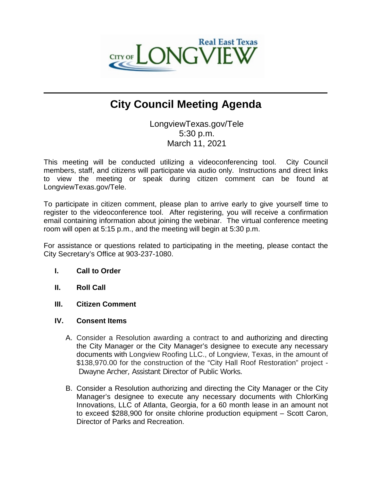

# **City Council Meeting Agenda**

 $\mathcal{L}_\mathcal{L} = \mathcal{L}_\mathcal{L}$  , where  $\mathcal{L}_\mathcal{L} = \mathcal{L}_\mathcal{L}$  ,  $\mathcal{L}_\mathcal{L} = \mathcal{L}_\mathcal{L}$  ,  $\mathcal{L}_\mathcal{L} = \mathcal{L}_\mathcal{L}$  ,  $\mathcal{L}_\mathcal{L} = \mathcal{L}_\mathcal{L}$ 

LongviewTexas.gov/Tele 5:30 p.m. March 11, 2021

This meeting will be conducted utilizing a videoconferencing tool. City Council members, staff, and citizens will participate via audio only. Instructions and direct links to view the meeting or speak during citizen comment can be found at LongviewTexas.gov/Tele.

To participate in citizen comment, please plan to arrive early to give yourself time to register to the videoconference tool. After registering, you will receive a confirmation email containing information about joining the webinar. The virtual conference meeting room will open at 5:15 p.m., and the meeting will begin at 5:30 p.m.

For assistance or questions related to participating in the meeting, please contact the City Secretary's Office at 903-237-1080.

## **I. Call to Order**

- **II. Roll Call**
- **III. Citizen Comment**
- **IV. Consent Items**
	- A. Consider a Resolution awarding a contract to and authorizing and directing the City Manager or the City Manager's designee to execute any necessary documents with Longview Roofing LLC., of Longview, Texas, in the amount of \$138,970.00 for the construction of the "City Hall Roof Restoration" project - Dwayne Archer, Assistant Director of Public Works.
	- B. Consider a Resolution authorizing and directing the City Manager or the City Manager's designee to execute any necessary documents with ChlorKing Innovations, LLC of Atlanta, Georgia, for a 60 month lease in an amount not to exceed \$288,900 for onsite chlorine production equipment – Scott Caron, Director of Parks and Recreation.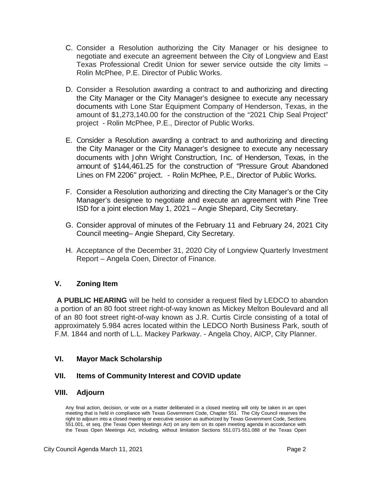- C. Consider a Resolution authorizing the City Manager or his designee to negotiate and execute an agreement between the City of Longview and East Texas Professional Credit Union for sewer service outside the city limits – Rolin McPhee, P.E. Director of Public Works.
- D. Consider a Resolution awarding a contract to and authorizing and directing the City Manager or the City Manager's designee to execute any necessary documents with Lone Star Equipment Company of Henderson, Texas, in the amount of \$1,273,140.00 for the construction of the "2021 Chip Seal Project" project - Rolin McPhee, P.E., Director of Public Works.
- E. Consider a Resolution awarding a contract to and authorizing and directing the City Manager or the City Manager's designee to execute any necessary documents with John Wright Construction, Inc. of Henderson, Texas, in the amount of \$144,461.25 for the construction of "Pressure Grout Abandoned Lines on FM 2206" project. - Rolin McPhee, P.E., Director of Public Works.
- F. Consider a Resolution authorizing and directing the City Manager's or the City Manager's designee to negotiate and execute an agreement with Pine Tree ISD for a joint election May 1, 2021 – Angie Shepard, City Secretary.
- G. Consider approval of minutes of the February 11 and February 24, 2021 City Council meeting– Angie Shepard, City Secretary.
- H. Acceptance of the December 31, 2020 City of Longview Quarterly Investment Report – Angela Coen, Director of Finance.

# **V. Zoning Item**

**A PUBLIC HEARING** will be held to consider a request filed by LEDCO to abandon a portion of an 80 foot street right-of-way known as Mickey Melton Boulevard and all of an 80 foot street right-of-way known as J.R. Curtis Circle consisting of a total of approximately 5.984 acres located within the LEDCO North Business Park, south of F.M. 1844 and north of L.L. Mackey Parkway. - Angela Choy, AICP, City Planner.

# **VI. Mayor Mack Scholarship**

## **VII. Items of Community Interest and COVID update**

## **VIII. Adjourn**

Any final action, decision, or vote on a matter deliberated in a closed meeting will only be taken in an open meeting that is held in compliance with Texas Government Code, Chapter 551. The City Council reserves the right to adjourn into a closed meeting or executive session as authorized by Texas Government Code, Sections 551.001, et seq. (the Texas Open Meetings Act) on any item on its open meeting agenda in accordance with the Texas Open Meetings Act, including, without limitation Sections 551.071-551.088 of the Texas Open